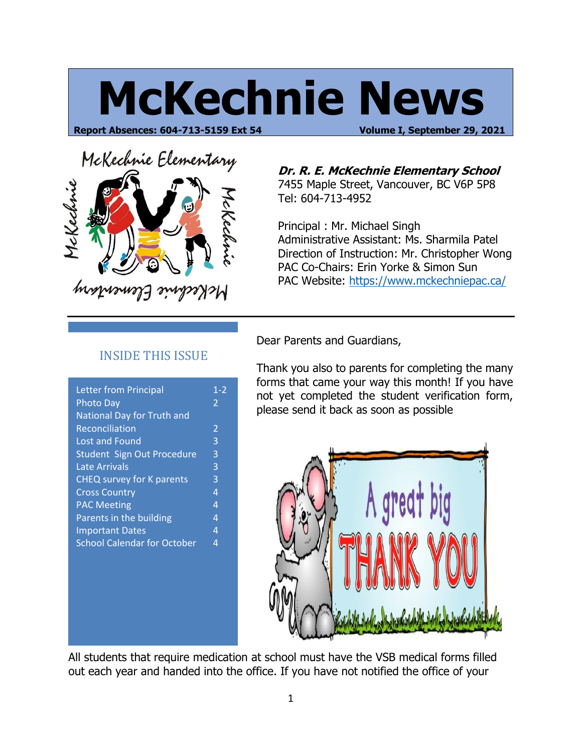# **McKechnie News**

**Report Absences: 604-713-5159 Ext 54 Volume I, September 29, 2021**



**Dr. R. E. McKechnie Elementary School**

7455 Maple Street, Vancouver, BC V6P 5P8 Tel: 604-713-4952

Principal : Mr. Michael Singh Administrative Assistant: Ms. Sharmila Patel Direction of Instruction: Mr. Christopher Wong PAC Co-Chairs: Erin Yorke & Simon Sun PAC Website:<https://www.mckechniepac.ca/>

#### INSIDE THIS ISSUE

| <b>Letter from Principal</b>       | $1 - 2$                  |
|------------------------------------|--------------------------|
| <b>Photo Day</b>                   | $\overline{\phantom{a}}$ |
| National Day for Truth and         |                          |
| Reconciliation                     | 2                        |
| Lost and Found                     | 3                        |
| Student Sign Out Procedure         | 3                        |
| <b>Late Arrivals</b>               | 3                        |
| CHEQ survey for K parents          | 3                        |
| <b>Cross Country</b>               | 4                        |
| <b>PAC Meeting</b>                 | 4                        |
| Parents in the building            | 4                        |
| <b>Important Dates</b>             | 4                        |
| <b>School Calendar for October</b> | 4                        |
|                                    |                          |
|                                    |                          |

Dear Parents and Guardians,

Thank you also to parents for completing the many forms that came your way this month! If you have not yet completed the student verification form, please send it back as soon as possible



All students that require medication at school must have the VSB medical forms filled out each year and handed into the office. If you have not notified the office of your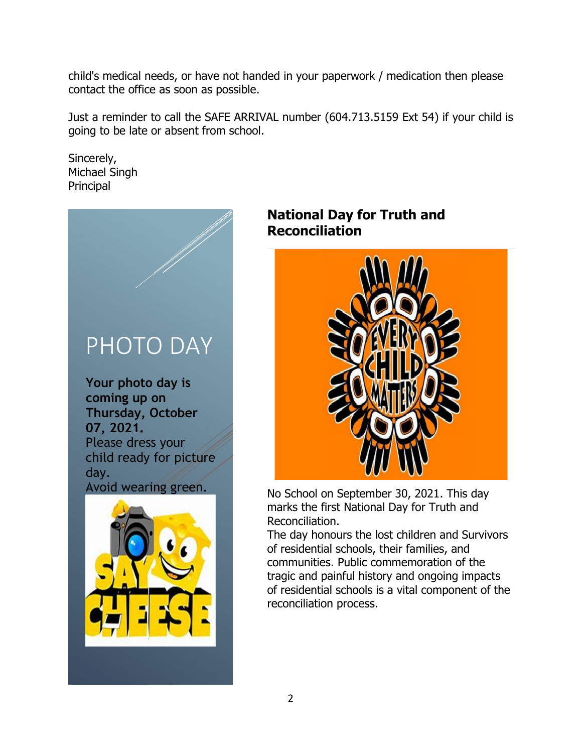child's medical needs, or have not handed in your paperwork / medication then please contact the office as soon as possible.

Just a reminder to call the SAFE ARRIVAL number (604.713.5159 Ext 54) if your child is going to be late or absent from school.

Sincerely, Michael Singh Principal



**Your photo day is coming up on Thursday, October 07, 2021.** Please dress your child ready for picture day. Avoid wearing green.



## **National Day for Truth and Reconciliation**



No School on September 30, 2021. This day marks the first National Day for Truth and Reconciliation.

The day honours the lost children and Survivors of residential schools, their families, and communities. Public commemoration of the tragic and painful history and ongoing impacts of residential schools is a vital component of the reconciliation process.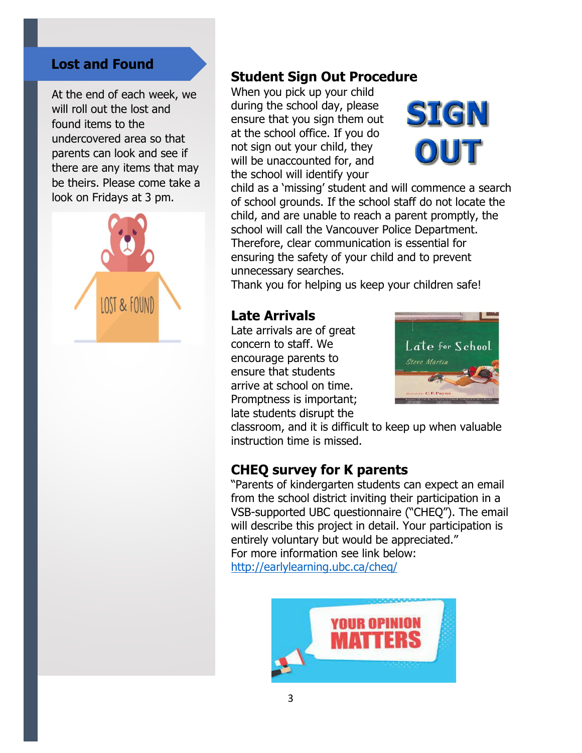#### **Lost and Found**

At the end of each week, we will roll out the lost and found items to the undercovered area so that parents can look and see if there are any items that may be theirs. Please come take a look on Fridays at 3 pm.



## **Student Sign Out Procedure**

When you pick up your child during the school day, please ensure that you sign them out at the school office. If you do not sign out your child, they will be unaccounted for, and the school will identify your



child as a 'missing' student and will commence a search of school grounds. If the school staff do not locate the child, and are unable to reach a parent promptly, the school will call the Vancouver Police Department. Therefore, clear communication is essential for ensuring the safety of your child and to prevent unnecessary searches.

Thank you for helping us keep your children safe!

#### **Late Arrivals**

Late arrivals are of great concern to staff. We encourage parents to ensure that students arrive at school on time. Promptness is important; late students disrupt the



classroom, and it is difficult to keep up when valuable instruction time is missed.

### **CHEQ survey for K parents**

"Parents of kindergarten students can expect an email from the school district inviting their participation in a VSB-supported UBC questionnaire ("CHEQ"). The email will describe this project in detail. Your participation is entirely voluntary but would be appreciated." For more information see link below: <http://earlylearning.ubc.ca/cheq/>

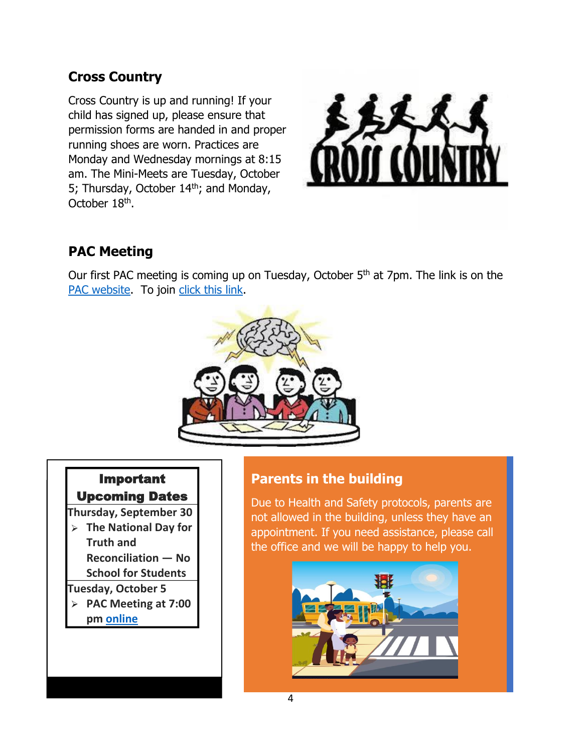# **Cross Country**

Cross Country is up and running! If your child has signed up, please ensure that permission forms are handed in and proper running shoes are worn. Practices are Monday and Wednesday mornings at 8:15 am. The Mini-Meets are Tuesday, October 5; Thursday, October 14<sup>th</sup>; and Monday, October 18<sup>th</sup>.



# **PAC Meeting**

Our first PAC meeting is coming up on Tuesday, October 5<sup>th</sup> at 7pm. The link is on the [PAC website.](https://www.mckechniepac.ca/) To join [click this link.](https://teams.microsoft.com/dl/launcher/launcher.html?url=%2F_%23%2Fl%2Fmeetup-join%2F19%3Ameeting_MjcyMTJjM2EtYzkyMC00MGNhLTliZjYtZjlmMjhiODdmOGI0%40thread.v2%2F0%3Fcontext%3D%257b%2522Tid%2522%253a%25220b8a2e58-7b30-4a08-bab7-d75559e0e3a5%2522%252c%2522Oid%2522%253a%252202b3038b-5047-4330-a82e-59928a446d11%2522%257d%26anon%3Dtrue&type=meetup-join&deeplinkId=f40dacba-970f-4409-a305-d799960a4be9&directDl=true&msLaunch=true&enableMobilePage=true&suppressPrompt=true)



## Important Upcoming Dates

**Thursday, September 30**

**The National Day for Truth and Reconciliation — No School for Students**

**Tuesday, October 5**

**PAC Meeting at 7:00 pm [online](https://teams.microsoft.com/dl/launcher/launcher.html?url=%2F_%23%2Fl%2Fmeetup-join%2F19%3Ameeting_MjcyMTJjM2EtYzkyMC00MGNhLTliZjYtZjlmMjhiODdmOGI0%40thread.v2%2F0%3Fcontext%3D%257b%2522Tid%2522%253a%25220b8a2e58-7b30-4a08-bab7-d75559e0e3a5%2522%252c%2522Oid%2522%253a%252202b3038b-5047-4330-a82e-59928a446d11%2522%257d%26anon%3Dtrue&type=meetup-join&deeplinkId=f40dacba-970f-4409-a305-d799960a4be9&directDl=true&msLaunch=true&enableMobilePage=true&suppressPrompt=true)**

# **Parents in the building**

Due to Health and Safety protocols, parents are not allowed in the building, unless they have an appointment. If you need assistance, please call the office and we will be happy to help you.